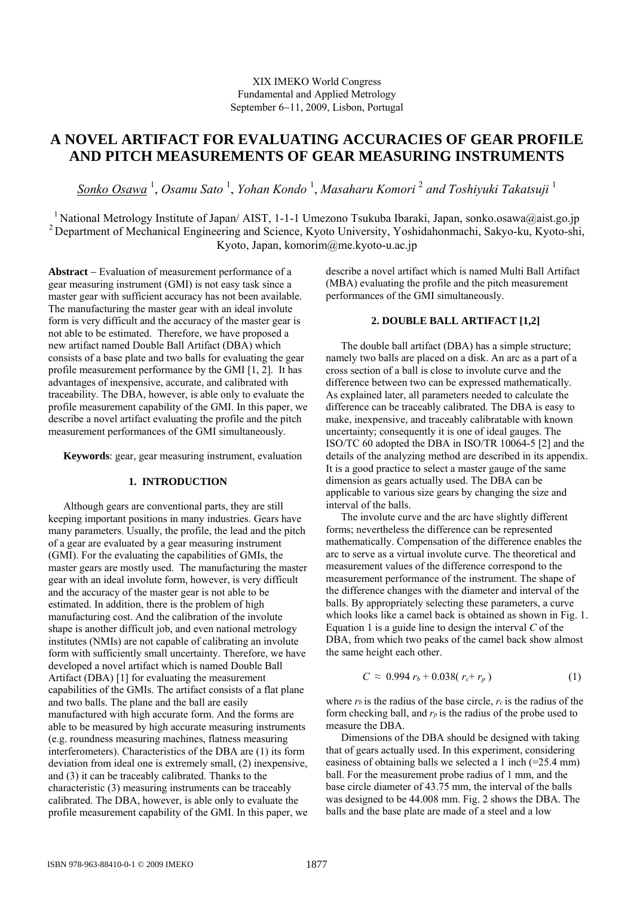## XIX IMEKO World Congress Fundamental and Applied Metrology September 6−11, 2009, Lisbon, Portugal

# **A NOVEL ARTIFACT FOR EVALUATING ACCURACIES OF GEAR PROFILE AND PITCH MEASUREMENTS OF GEAR MEASURING INSTRUMENTS**

*Sonko Osawa* <sup>1</sup> , *Osamu Sato* <sup>1</sup> , *Yohan Kondo* <sup>1</sup> , *Masaharu Komori* <sup>2</sup> *and Toshiyuki Takatsuji* <sup>1</sup>

<sup>1</sup> National Metrology Institute of Japan/ AIST, 1-1-1 Umezono Tsukuba Ibaraki, Japan, sonko.osawa@aist.go.jp <sup>2</sup> Department of Mechanical Engineering and Science, Kyoto University, Yoshidahonmachi, Sakyo-ku, Kyoto-shi, Kyoto, Japan, komorim@me.kyoto-u.ac.jp

**Abstract** − Evaluation of measurement performance of a gear measuring instrument (GMI) is not easy task since a master gear with sufficient accuracy has not been available. The manufacturing the master gear with an ideal involute form is very difficult and the accuracy of the master gear is not able to be estimated. Therefore, we have proposed a new artifact named Double Ball Artifact (DBA) which consists of a base plate and two balls for evaluating the gear profile measurement performance by the GMI [1, 2]. It has advantages of inexpensive, accurate, and calibrated with traceability. The DBA, however, is able only to evaluate the profile measurement capability of the GMI. In this paper, we describe a novel artifact evaluating the profile and the pitch measurement performances of the GMI simultaneously.

**Keywords**: gear, gear measuring instrument, evaluation

### **1. INTRODUCTION**

Although gears are conventional parts, they are still keeping important positions in many industries. Gears have many parameters. Usually, the profile, the lead and the pitch of a gear are evaluated by a gear measuring instrument (GMI). For the evaluating the capabilities of GMIs, the master gears are mostly used. The manufacturing the master gear with an ideal involute form, however, is very difficult and the accuracy of the master gear is not able to be estimated. In addition, there is the problem of high manufacturing cost. And the calibration of the involute shape is another difficult job, and even national metrology institutes (NMIs) are not capable of calibrating an involute form with sufficiently small uncertainty. Therefore, we have developed a novel artifact which is named Double Ball Artifact (DBA) [1] for evaluating the measurement capabilities of the GMIs. The artifact consists of a flat plane and two balls. The plane and the ball are easily manufactured with high accurate form. And the forms are able to be measured by high accurate measuring instruments (e.g. roundness measuring machines, flatness measuring interferometers). Characteristics of the DBA are (1) its form deviation from ideal one is extremely small, (2) inexpensive, and (3) it can be traceably calibrated. Thanks to the characteristic (3) measuring instruments can be traceably calibrated. The DBA, however, is able only to evaluate the profile measurement capability of the GMI. In this paper, we describe a novel artifact which is named Multi Ball Artifact (MBA) evaluating the profile and the pitch measurement performances of the GMI simultaneously.

# **2. DOUBLE BALL ARTIFACT [1,2]**

The double ball artifact (DBA) has a simple structure; namely two balls are placed on a disk. An arc as a part of a cross section of a ball is close to involute curve and the difference between two can be expressed mathematically. As explained later, all parameters needed to calculate the difference can be traceably calibrated. The DBA is easy to make, inexpensive, and traceably calibratable with known uncertainty; consequently it is one of ideal gauges. The ISO/TC 60 adopted the DBA in ISO/TR 10064-5 [2] and the details of the analyzing method are described in its appendix. It is a good practice to select a master gauge of the same dimension as gears actually used. The DBA can be applicable to various size gears by changing the size and interval of the balls.

The involute curve and the arc have slightly different forms; nevertheless the difference can be represented mathematically. Compensation of the difference enables the arc to serve as a virtual involute curve. The theoretical and measurement values of the difference correspond to the measurement performance of the instrument. The shape of the difference changes with the diameter and interval of the balls. By appropriately selecting these parameters, a curve which looks like a camel back is obtained as shown in Fig. 1. Equation 1 is a guide line to design the interval *C* of the DBA, from which two peaks of the camel back show almost the same height each other.

$$
C \approx 0.994 r_b + 0.038(r_c + r_p)
$$
 (1)

where *rb* is the radius of the base circle, *rc* is the radius of the form checking ball, and *rp* is the radius of the probe used to measure the DBA.

Dimensions of the DBA should be designed with taking that of gears actually used. In this experiment, considering easiness of obtaining balls we selected a 1 inch (=25.4 mm) ball. For the measurement probe radius of 1 mm, and the base circle diameter of 43.75 mm, the interval of the balls was designed to be 44.008 mm. Fig. 2 shows the DBA. The balls and the base plate are made of a steel and a low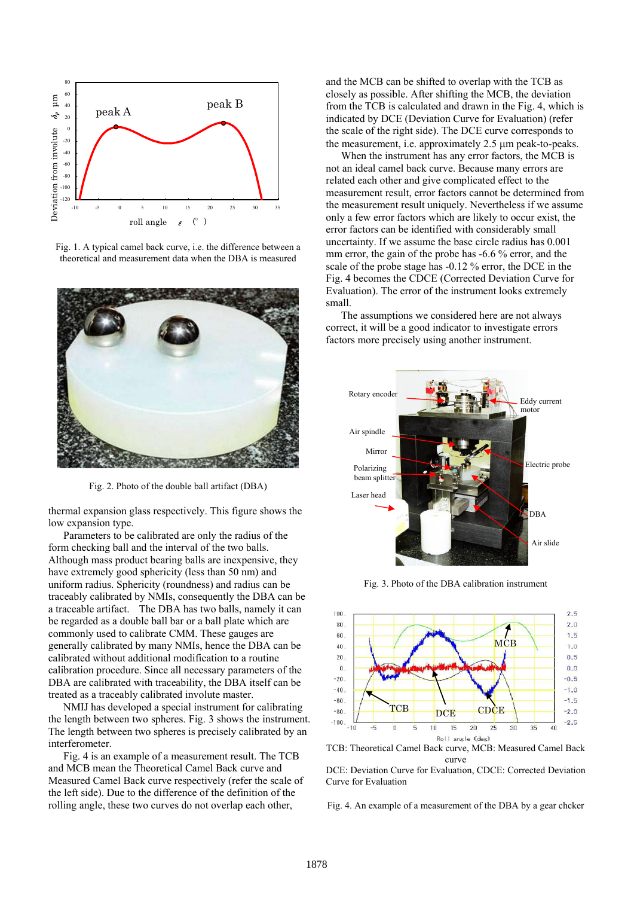

Fig. 1. A typical camel back curve, i.e. the difference between a theoretical and measurement data when the DBA is measured



Fig. 2. Photo of the double ball artifact (DBA)

thermal expansion glass respectively. This figure shows the low expansion type.

Parameters to be calibrated are only the radius of the form checking ball and the interval of the two balls. Although mass product bearing balls are inexpensive, they have extremely good sphericity (less than 50 nm) and uniform radius. Sphericity (roundness) and radius can be traceably calibrated by NMIs, consequently the DBA can be a traceable artifact. The DBA has two balls, namely it can be regarded as a double ball bar or a ball plate which are commonly used to calibrate CMM. These gauges are generally calibrated by many NMIs, hence the DBA can be calibrated without additional modification to a routine calibration procedure. Since all necessary parameters of the DBA are calibrated with traceability, the DBA itself can be treated as a traceably calibrated involute master.

 NMIJ has developed a special instrument for calibrating the length between two spheres. Fig. 3 shows the instrument. The length between two spheres is precisely calibrated by an interferometer.

 Fig. 4 is an example of a measurement result. The TCB and MCB mean the Theoretical Camel Back curve and Measured Camel Back curve respectively (refer the scale of the left side). Due to the difference of the definition of the rolling angle, these two curves do not overlap each other,

and the MCB can be shifted to overlap with the TCB as closely as possible. After shifting the MCB, the deviation from the TCB is calculated and drawn in the Fig. 4, which is indicated by DCE (Deviation Curve for Evaluation) (refer the scale of the right side). The DCE curve corresponds to the measurement, i.e. approximately 2.5 μm peak-to-peaks.

 When the instrument has any error factors, the MCB is not an ideal camel back curve. Because many errors are related each other and give complicated effect to the measurement result, error factors cannot be determined from the measurement result uniquely. Nevertheless if we assume only a few error factors which are likely to occur exist, the error factors can be identified with considerably small uncertainty. If we assume the base circle radius has 0.001 mm error, the gain of the probe has  $-6.6\%$  error, and the scale of the probe stage has -0.12 % error, the DCE in the Fig. 4 becomes the CDCE (Corrected Deviation Curve for Evaluation). The error of the instrument looks extremely small.

The assumptions we considered here are not always correct, it will be a good indicator to investigate errors factors more precisely using another instrument.



Fig. 3. Photo of the DBA calibration instrument



TCB: Theoretical Camel Back curve, MCB: Measured Camel Back curve

DCE: Deviation Curve for Evaluation, CDCE: Corrected Deviation Curve for Evaluation

Fig. 4. An example of a measurement of the DBA by a gear chcker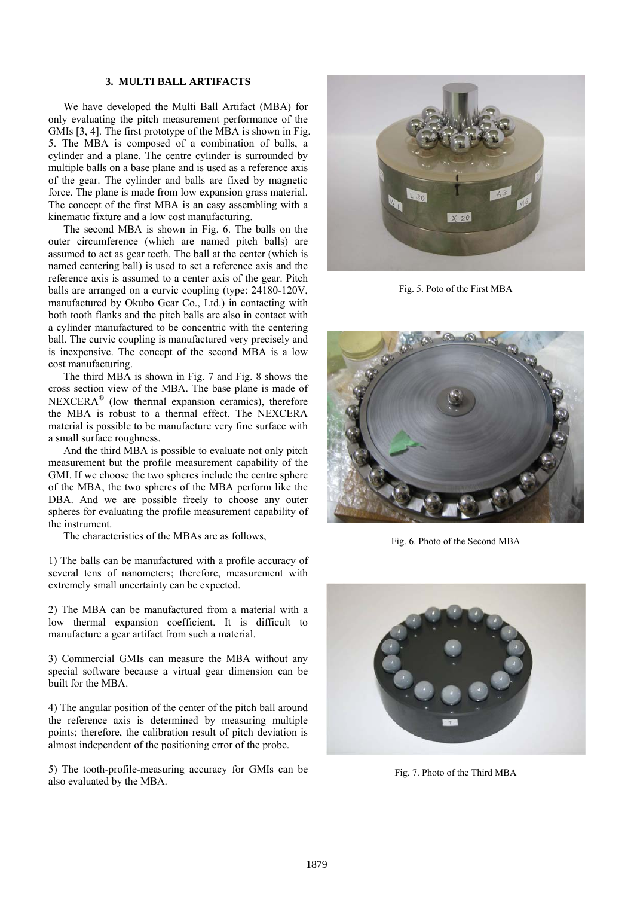## **3. MULTI BALL ARTIFACTS**

We have developed the Multi Ball Artifact (MBA) for only evaluating the pitch measurement performance of the GMIs [3, 4]. The first prototype of the MBA is shown in Fig. 5. The MBA is composed of a combination of balls, a cylinder and a plane. The centre cylinder is surrounded by multiple balls on a base plane and is used as a reference axis of the gear. The cylinder and balls are fixed by magnetic force. The plane is made from low expansion grass material. The concept of the first MBA is an easy assembling with a kinematic fixture and a low cost manufacturing.

The second MBA is shown in Fig. 6. The balls on the outer circumference (which are named pitch balls) are assumed to act as gear teeth. The ball at the center (which is named centering ball) is used to set a reference axis and the reference axis is assumed to a center axis of the gear. Pitch balls are arranged on a curvic coupling (type: 24180-120V, manufactured by Okubo Gear Co., Ltd.) in contacting with both tooth flanks and the pitch balls are also in contact with a cylinder manufactured to be concentric with the centering ball. The curvic coupling is manufactured very precisely and is inexpensive. The concept of the second MBA is a low cost manufacturing.

The third MBA is shown in Fig. 7 and Fig. 8 shows the cross section view of the MBA. The base plane is made of NEXCERA® (low thermal expansion ceramics), therefore the MBA is robust to a thermal effect. The NEXCERA material is possible to be manufacture very fine surface with a small surface roughness.

And the third MBA is possible to evaluate not only pitch measurement but the profile measurement capability of the GMI. If we choose the two spheres include the centre sphere of the MBA, the two spheres of the MBA perform like the DBA. And we are possible freely to choose any outer spheres for evaluating the profile measurement capability of the instrument.

The characteristics of the MBAs are as follows,

1) The balls can be manufactured with a profile accuracy of several tens of nanometers; therefore, measurement with extremely small uncertainty can be expected.

2) The MBA can be manufactured from a material with a low thermal expansion coefficient. It is difficult to manufacture a gear artifact from such a material.

3) Commercial GMIs can measure the MBA without any special software because a virtual gear dimension can be built for the MBA.

4) The angular position of the center of the pitch ball around the reference axis is determined by measuring multiple points; therefore, the calibration result of pitch deviation is almost independent of the positioning error of the probe.

5) The tooth-profile-measuring accuracy for GMIs can be also evaluated by the MBA.



Fig. 5. Poto of the First MBA



Fig. 6. Photo of the Second MBA



Fig. 7. Photo of the Third MBA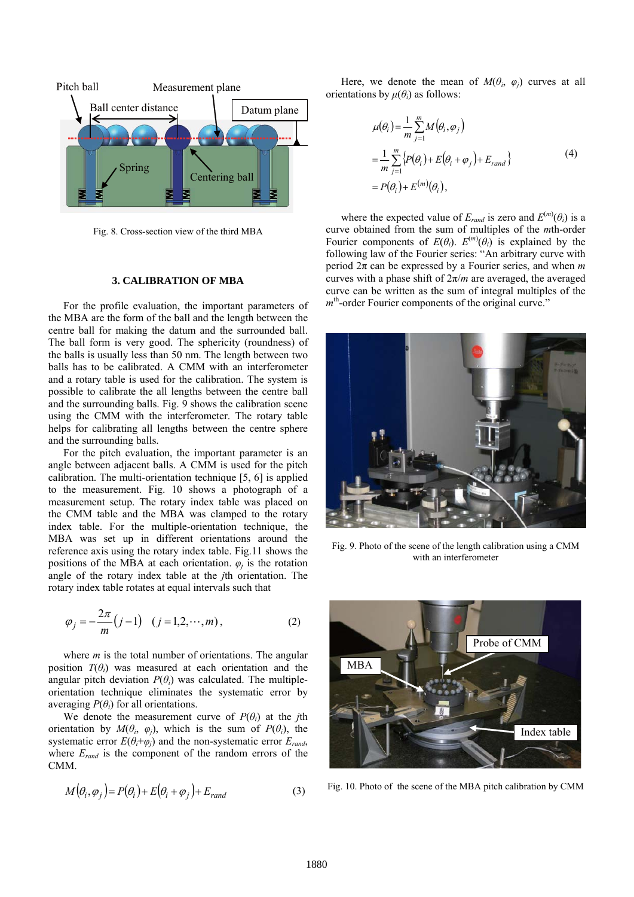

Fig. 8. Cross-section view of the third MBA

#### **3. CALIBRATION OF MBA**

For the profile evaluation, the important parameters of the MBA are the form of the ball and the length between the centre ball for making the datum and the surrounded ball. The ball form is very good. The sphericity (roundness) of the balls is usually less than 50 nm. The length between two balls has to be calibrated. A CMM with an interferometer and a rotary table is used for the calibration. The system is possible to calibrate the all lengths between the centre ball and the surrounding balls. Fig. 9 shows the calibration scene using the CMM with the interferometer. The rotary table helps for calibrating all lengths between the centre sphere and the surrounding balls.

For the pitch evaluation, the important parameter is an angle between adjacent balls. A CMM is used for the pitch calibration. The multi-orientation technique [5, 6] is applied to the measurement. Fig. 10 shows a photograph of a measurement setup. The rotary index table was placed on the CMM table and the MBA was clamped to the rotary index table. For the multiple-orientation technique, the MBA was set up in different orientations around the reference axis using the rotary index table. Fig.11 shows the positions of the MBA at each orientation.  $\varphi_i$  is the rotation angle of the rotary index table at the *j*th orientation. The rotary index table rotates at equal intervals such that

$$
\varphi_j = -\frac{2\pi}{m}(j-1) \quad (j = 1, 2, \cdots, m),
$$
 (2)

where *m* is the total number of orientations. The angular position  $T(\theta_i)$  was measured at each orientation and the angular pitch deviation  $P(\theta_i)$  was calculated. The multipleorientation technique eliminates the systematic error by averaging  $P(\theta_i)$  for all orientations.

We denote the measurement curve of  $P(\theta_i)$  at the *j*th orientation by  $M(\theta_i, \varphi_i)$ , which is the sum of  $P(\theta_i)$ , the systematic error  $E(\theta_i + \varphi_j)$  and the non-systematic error  $E_{rand}$ , where  $E_{rand}$  is the component of the random errors of the CMM.

$$
M(\theta_i, \varphi_j) = P(\theta_i) + E(\theta_i + \varphi_j) + E_{rand}
$$
\n(3)

Here, we denote the mean of  $M(\theta_i, \varphi_j)$  curves at all orientations by  $\mu(\theta_i)$  as follows:

$$
\mu(\theta_i) = \frac{1}{m} \sum_{j=1}^{m} M(\theta_i, \varphi_j)
$$
  
= 
$$
\frac{1}{m} \sum_{j=1}^{m} \{P(\theta_i) + E(\theta_i + \varphi_j) + E_{rand}\}
$$
  
= 
$$
P(\theta_i) + E^{(m)}(\theta_i),
$$
 (4)

where the expected value of  $E_{rand}$  is zero and  $E^{(m)}(\theta_i)$  is a curve obtained from the sum of multiples of the *m*th-order Fourier components of  $E(\theta_i)$ .  $E^{(m)}(\theta_i)$  is explained by the following law of the Fourier series: "An arbitrary curve with period 2π can be expressed by a Fourier series, and when *m* curves with a phase shift of  $2\pi/m$  are averaged, the averaged curve can be written as the sum of integral multiples of the *m*<sup>th</sup>-order Fourier components of the original curve."



Fig. 9. Photo of the scene of the length calibration using a CMM with an interferometer



Fig. 10. Photo of the scene of the MBA pitch calibration by CMM